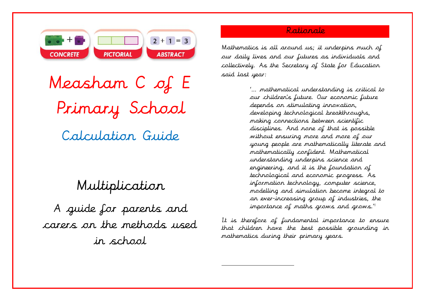

Measham C of E Primary School Calculation Guide

# Multiplication

A guide for parents and carers on the methods used in school

# Rationale

Mathematics is all around us; it underpins much of our daily lives and our futures as individuals and collectively. As the Secretary of State for Education said last year:

> '… mathematical understanding is critical to our children's future. Our economic future depends on stimulating innovation, developing technological breakthroughs, making connections between scientific disciplines. And none of that is possible without ensuring more and more of our young people are mathematically literate and mathematically confident. Mathematical understanding underpins science and engineering, and it is the foundation of technological and economic progress. As information technology, computer science, modelling and simulation become integral to an ever-increasing group of industries, the importance of maths grows and grows."

It is therefore of fundamental importance to ensure that children have the best possible grounding in mathematics during their primary years.

 $\overline{a}$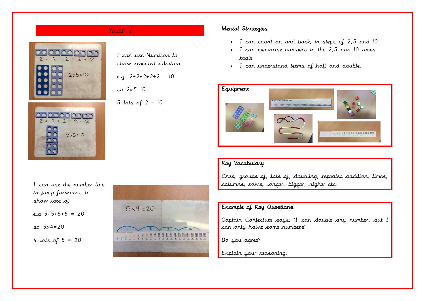



I can use Numicon to show repeated addition.

e.g. 2+2+2+2+2 = 10

 $502 \times 5 = 10$ 

5 lots of  $2 = 10$ 

# I can use the number line to jump forwards to show lots of.

e.g 5+5+5+5 = 20

$$
5x + 20
$$

4 *lots* of  $5 = 20$ 



# Year 1 Mental Strategies

- I can count on and back, in steps of 2,5 and 10.
- I can memorise numbers in the 2,5 and 10 times table.
- I can understand terms of half and double.



### Key Vocabulary

Ones, groups of, lots of, doubling, repeated addition, times, columns, rows, longer, bigger, higher etc.

### Example of Key Questions

Captain Conjecture says, 'I can double any number, but I can only halve some numbers'.

Do you agree?

Explain your reasoning.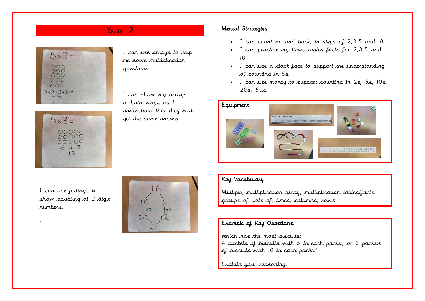



I can use arrays to help me solve multiplication questions.

I can show my arrays in both ways as I understand that they will get the same answer

# Year 2 Mental Strategies

- I can count on and back, in steps of 2,3,5 and 10.
- I can practise my times tables facts for 2,3,5 and 10.
- I can use a clock face to support the understanding of counting in 5s
- I can use money to support counting in 2s, 5s, 10s, 20s, 50s.



I can use jottings to show doubling of 2 digit numbers.

.



### Key Vocabulary

Multiple, multiplication array, multiplication tables/facts, groups of, lots of, times, columns, rows

### Example of Key Questions

Which has the most biscuits: 4 packets of biscuits with 5 in each packet, or 3 packets of biscuits with 10 in each packet?

Explain your reasoning.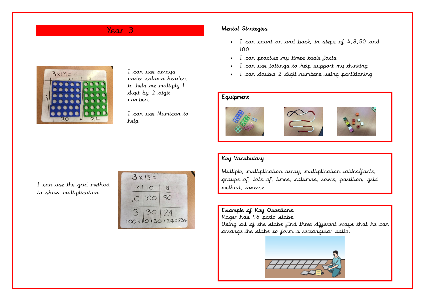

I can use arrays under column headers to help me multiply 1 digit by 2 digit numbers.

I can use Numicon to help.

# Year 3 Mental Strategies

- I can count on and back, in steps of 4,8,50 and 100.
- I can practise my times table facts
- I can use jottings to help support my thinking
- I can double 2 digit numbers using partitioning

### Equipment







#### Key Vocabulary

Multiple, multiplication array, multiplication tables/facts, groups of, lots of, times, columns, rows, partition, grid method, inverse

### Example of Key Questions

Roger has 96 patio slabs. Using all of the slabs find three different ways that he can arrange the slabs to form a rectangular patio.



I can use the grid method to show multiplication.

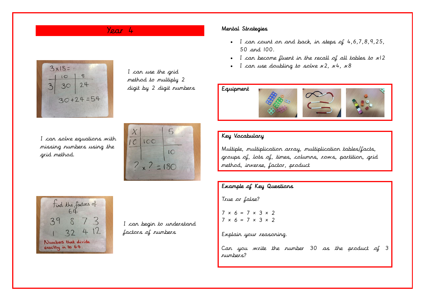

I can use the grid method to multiply 2 digit by 2 digit numbers

I can solve equations with missing numbers using the grid method.





I can begin to understand factors of numbers

# Year 4 Mental Strategies

- I can count on and back, in steps of  $4, 6, 7, 8, 9, 25$ , 50 and 100.
- I can become fluent in the recall of all tables to x12
- I can use doubling to solve  $x^2$ ,  $x^4$ ,  $x^8$

# Equipment



## Key Vocabulary

Multiple, multiplication array, multiplication tables/facts, groups of, lots of, times, columns, rows, partition, grid method, inverse, factor, product

### Example of Key Questions

True or false?

 $7 \times 6 = 7 \times 3 \times 2$  $7 \times 6 = 7 \times 3 \times 2$ 

Explain your reasoning.

Can you write the number 30 as the product of 3 numbers?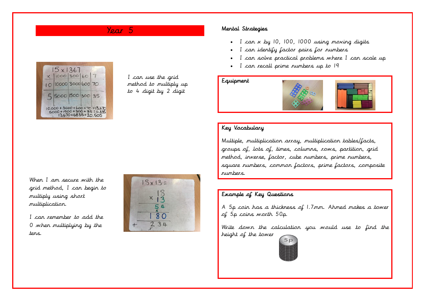# Year 5



I can use the grid method to multiply up to 4 digit by 2 digit

#### Mental Strategies

- I can x by 10, 100, 1000 using moving digits
- I can identify factor pairs for numbers
- I can solve practical problems where I can scale up
- I can recall prime numbers up to 19

#### Equipment



#### Key Vocabulary

Multiple, multiplication array, multiplication tables/facts, groups of, lots of, times, columns, rows, partition, grid method, inverse, factor, cube numbers, prime numbers, square numbers, common factors, prime factors, composite numbers.

Example of Key Questions

A 5p coin has a thickness of 1.7mm. Ahmed makes a tower of 5p coins worth 50p.

Write down the calculation you would use to find the height of the tower



When I am secure with the grid method, I can begin to multiply using short multiplication.

I can remember to add the 0 when multiplying by the tens.